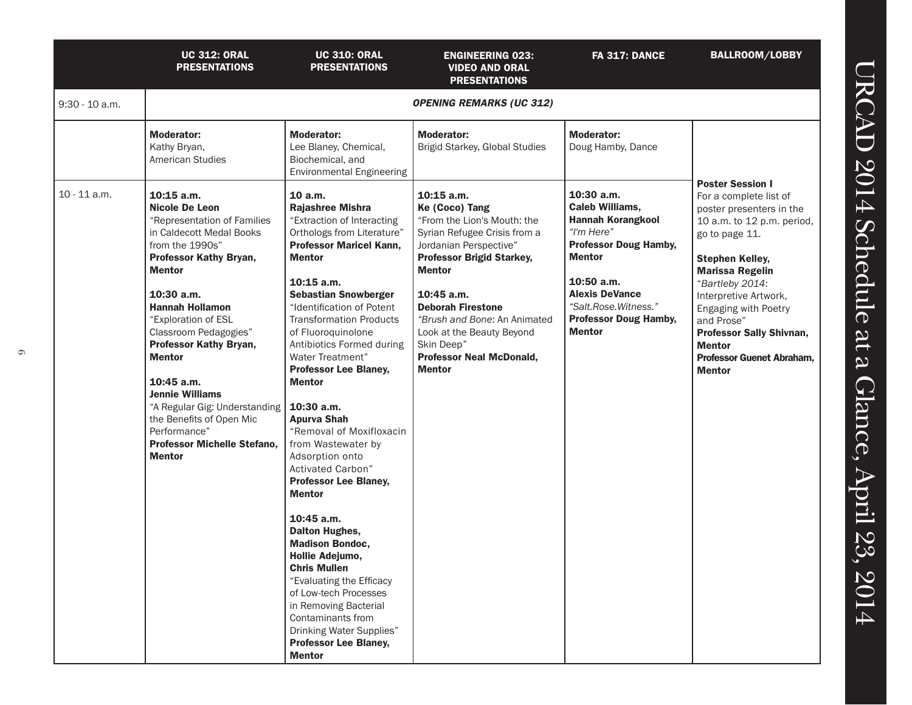|                  | <b>UC 312: ORAL</b><br><b>PRESENTATIONS</b>                                                                                                                                                                                                                                                                                                                                                                                                                                       | <b>UC 310: ORAL</b><br><b>PRESENTATIONS</b>                                                                                                                                                                                                                                                                                                                                                                                                                                                                                                                                                                                                                                                                                                                                                                                                                    | <b>ENGINEERING 023:</b><br><b>VIDEO AND ORAL</b><br><b>PRESENTATIONS</b>                                                                                                                                                                                                                                                                              | FA 317: DANCE                                                                                                                                                                                                                                       | BALLROOM/LOBBY                                                                                                                                                                                                                                                                                                                                                               |
|------------------|-----------------------------------------------------------------------------------------------------------------------------------------------------------------------------------------------------------------------------------------------------------------------------------------------------------------------------------------------------------------------------------------------------------------------------------------------------------------------------------|----------------------------------------------------------------------------------------------------------------------------------------------------------------------------------------------------------------------------------------------------------------------------------------------------------------------------------------------------------------------------------------------------------------------------------------------------------------------------------------------------------------------------------------------------------------------------------------------------------------------------------------------------------------------------------------------------------------------------------------------------------------------------------------------------------------------------------------------------------------|-------------------------------------------------------------------------------------------------------------------------------------------------------------------------------------------------------------------------------------------------------------------------------------------------------------------------------------------------------|-----------------------------------------------------------------------------------------------------------------------------------------------------------------------------------------------------------------------------------------------------|------------------------------------------------------------------------------------------------------------------------------------------------------------------------------------------------------------------------------------------------------------------------------------------------------------------------------------------------------------------------------|
| $9:30 - 10$ a.m. |                                                                                                                                                                                                                                                                                                                                                                                                                                                                                   |                                                                                                                                                                                                                                                                                                                                                                                                                                                                                                                                                                                                                                                                                                                                                                                                                                                                | <b>OPENING REMARKS (UC 312)</b>                                                                                                                                                                                                                                                                                                                       |                                                                                                                                                                                                                                                     |                                                                                                                                                                                                                                                                                                                                                                              |
|                  | <b>Moderator:</b><br>Kathy Bryan,<br><b>American Studies</b>                                                                                                                                                                                                                                                                                                                                                                                                                      | <b>Moderator:</b><br>Lee Blaney, Chemical,<br>Biochemical, and<br><b>Environmental Engineering</b>                                                                                                                                                                                                                                                                                                                                                                                                                                                                                                                                                                                                                                                                                                                                                             | <b>Moderator:</b><br>Brigid Starkey, Global Studies                                                                                                                                                                                                                                                                                                   | <b>Moderator:</b><br>Doug Hamby, Dance                                                                                                                                                                                                              |                                                                                                                                                                                                                                                                                                                                                                              |
| $10 - 11$ a.m.   | $10:15$ a.m.<br><b>Nicole De Leon</b><br>"Representation of Families<br>in Caldecott Medal Books<br>from the 1990s"<br>Professor Kathy Bryan,<br><b>Mentor</b><br>$10:30$ a.m.<br><b>Hannah Hollamon</b><br>"Exploration of ESL<br>Classroom Pedagogies"<br>Professor Kathy Bryan,<br><b>Mentor</b><br>$10:45$ a.m.<br><b>Jennie Williams</b><br>"A Regular Gig: Understanding<br>the Benefits of Open Mic<br>Performance"<br><b>Professor Michelle Stefano.</b><br><b>Mentor</b> | 10 a.m.<br>Rajashree Mishra<br>"Extraction of Interacting<br>Orthologs from Literature"<br><b>Professor Maricel Kann,</b><br><b>Mentor</b><br>$10:15$ a.m.<br><b>Sebastian Snowberger</b><br>"Identification of Potent<br><b>Transformation Products</b><br>of Fluoroquinolone<br>Antibiotics Formed during<br>Water Treatment"<br><b>Professor Lee Blaney,</b><br><b>Mentor</b><br>$10:30$ a.m.<br><b>Apurva Shah</b><br>"Removal of Moxifloxacin<br>from Wastewater by<br>Adsorption onto<br>Activated Carbon"<br><b>Professor Lee Blaney,</b><br><b>Mentor</b><br>$10:45$ a.m.<br><b>Dalton Hughes,</b><br><b>Madison Bondoc,</b><br>Hollie Adejumo,<br><b>Chris Mullen</b><br>"Evaluating the Efficacy<br>of Low-tech Processes<br>in Removing Bacterial<br>Contaminants from<br>Drinking Water Supplies"<br><b>Professor Lee Blaney,</b><br><b>Mentor</b> | $10:15$ a.m.<br>Ke (Coco) Tang<br>"From the Lion's Mouth: the<br>Syrian Refugee Crisis from a<br>Jordanian Perspective"<br><b>Professor Brigid Starkey,</b><br><b>Mentor</b><br>10:45 a.m.<br><b>Deborah Firestone</b><br>"Brush and Bone: An Animated<br>Look at the Beauty Beyond<br>Skin Deep"<br><b>Professor Neal McDonald,</b><br><b>Mentor</b> | $10:30$ a.m.<br><b>Caleb Williams,</b><br><b>Hannah Korangkool</b><br>"I'm Here"<br><b>Professor Doug Hamby,</b><br><b>Mentor</b><br>$10:50$ a.m.<br><b>Alexis DeVance</b><br>"Salt.Rose.Witness."<br><b>Professor Doug Hamby,</b><br><b>Mentor</b> | <b>Poster Session I</b><br>For a complete list of<br>poster presenters in the<br>10 a.m. to 12 p.m. period,<br>go to page 11.<br><b>Stephen Kelley,</b><br><b>Marissa Regelin</b><br>"Bartleby 2014:<br>Interpretive Artwork,<br>Engaging with Poetry<br>and Prose"<br><b>Professor Sally Shivnan,</b><br><b>Mentor</b><br><b>Professor Guenet Abraham,</b><br><b>Mentor</b> |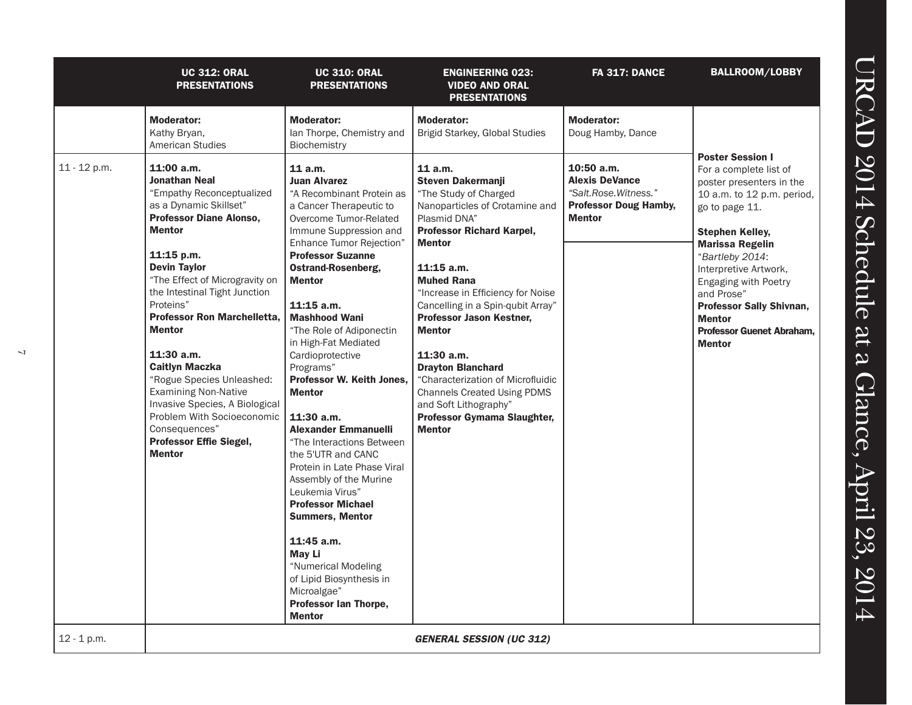|               | <b>UC 312: ORAL</b><br><b>PRESENTATIONS</b>                                                                                                                                                                                                                                                                                                                                                                                                                                                                                                                  | <b>UC 310: ORAL</b><br><b>PRESENTATIONS</b>                                                                                                                                                                                                                                                                                                                                                                                                                                                                                                                                                                                                                                                                                                                                                                | <b>ENGINEERING 023:</b><br><b>VIDEO AND ORAL</b><br><b>PRESENTATIONS</b>                                                                                                                                                                                                                                                                                                                                                                                                                                                      | FA 317: DANCE                                                                                                  | BALLROOM/LOBBY                                                                                                                                                                                                                                                                                                                                                               |
|---------------|--------------------------------------------------------------------------------------------------------------------------------------------------------------------------------------------------------------------------------------------------------------------------------------------------------------------------------------------------------------------------------------------------------------------------------------------------------------------------------------------------------------------------------------------------------------|------------------------------------------------------------------------------------------------------------------------------------------------------------------------------------------------------------------------------------------------------------------------------------------------------------------------------------------------------------------------------------------------------------------------------------------------------------------------------------------------------------------------------------------------------------------------------------------------------------------------------------------------------------------------------------------------------------------------------------------------------------------------------------------------------------|-------------------------------------------------------------------------------------------------------------------------------------------------------------------------------------------------------------------------------------------------------------------------------------------------------------------------------------------------------------------------------------------------------------------------------------------------------------------------------------------------------------------------------|----------------------------------------------------------------------------------------------------------------|------------------------------------------------------------------------------------------------------------------------------------------------------------------------------------------------------------------------------------------------------------------------------------------------------------------------------------------------------------------------------|
|               | <b>Moderator:</b><br>Kathy Bryan,<br><b>American Studies</b>                                                                                                                                                                                                                                                                                                                                                                                                                                                                                                 | <b>Moderator:</b><br>lan Thorpe, Chemistry and<br>Biochemistry                                                                                                                                                                                                                                                                                                                                                                                                                                                                                                                                                                                                                                                                                                                                             | <b>Moderator:</b><br>Brigid Starkey, Global Studies                                                                                                                                                                                                                                                                                                                                                                                                                                                                           | <b>Moderator:</b><br>Doug Hamby, Dance                                                                         |                                                                                                                                                                                                                                                                                                                                                                              |
| 11 - 12 p.m.  | $11:00$ a.m.<br><b>Jonathan Neal</b><br>"Empathy Reconceptualized<br>as a Dynamic Skillset"<br><b>Professor Diane Alonso,</b><br><b>Mentor</b><br>$11:15$ p.m.<br><b>Devin Taylor</b><br>"The Effect of Microgravity on<br>the Intestinal Tight Junction<br>Proteins"<br>Professor Ron Marchelletta,<br><b>Mentor</b><br>11:30 a.m.<br><b>Caitlyn Maczka</b><br>"Rogue Species Unleashed:<br><b>Examining Non-Native</b><br>Invasive Species, A Biological<br>Problem With Socioeconomic<br>Consequences"<br><b>Professor Effie Siegel,</b><br><b>Mentor</b> | 11 a.m.<br><b>Juan Alvarez</b><br>"A Recombinant Protein as<br>a Cancer Therapeutic to<br>Overcome Tumor-Related<br>Immune Suppression and<br><b>Enhance Tumor Rejection"</b><br><b>Professor Suzanne</b><br><b>Ostrand-Rosenberg.</b><br><b>Mentor</b><br>$11:15$ a.m.<br><b>Mashhood Wani</b><br>"The Role of Adiponectin<br>in High-Fat Mediated<br>Cardioprotective<br>Programs"<br>Professor W. Keith Jones.<br><b>Mentor</b><br>$11:30$ a.m.<br><b>Alexander Emmanuelli</b><br>"The Interactions Between<br>the 5'UTR and CANC<br>Protein in Late Phase Viral<br>Assembly of the Murine<br>Leukemia Virus"<br><b>Professor Michael</b><br><b>Summers, Mentor</b><br>11:45 a.m.<br>May Li<br>"Numerical Modeling<br>of Lipid Biosynthesis in<br>Microalgae"<br>Professor Ian Thorpe,<br><b>Mentor</b> | 11 a.m.<br><b>Steven Dakermanji</b><br>"The Study of Charged<br>Nanoparticles of Crotamine and<br>Plasmid DNA"<br><b>Professor Richard Karpel,</b><br><b>Mentor</b><br>$11:15$ a.m.<br><b>Muhed Rana</b><br>"Increase in Efficiency for Noise<br>Cancelling in a Spin-qubit Array"<br>Professor Jason Kestner,<br><b>Mentor</b><br>11:30 a.m.<br><b>Drayton Blanchard</b><br>"Characterization of Microfluidic<br><b>Channels Created Using PDMS</b><br>and Soft Lithography"<br>Professor Gymama Slaughter,<br><b>Mentor</b> | $10:50$ a.m.<br><b>Alexis DeVance</b><br>"Salt.Rose.Witness."<br><b>Professor Doug Hamby,</b><br><b>Mentor</b> | <b>Poster Session I</b><br>For a complete list of<br>poster presenters in the<br>10 a.m. to 12 p.m. period,<br>go to page 11.<br><b>Stephen Kelley,</b><br><b>Marissa Regelin</b><br>"Bartleby 2014:<br>Interpretive Artwork,<br>Engaging with Poetry<br>and Prose"<br><b>Professor Sally Shivnan,</b><br><b>Mentor</b><br><b>Professor Guenet Abraham.</b><br><b>Mentor</b> |
| $12 - 1 p.m.$ |                                                                                                                                                                                                                                                                                                                                                                                                                                                                                                                                                              |                                                                                                                                                                                                                                                                                                                                                                                                                                                                                                                                                                                                                                                                                                                                                                                                            | <b>GENERAL SESSION (UC 312)</b>                                                                                                                                                                                                                                                                                                                                                                                                                                                                                               |                                                                                                                |                                                                                                                                                                                                                                                                                                                                                                              |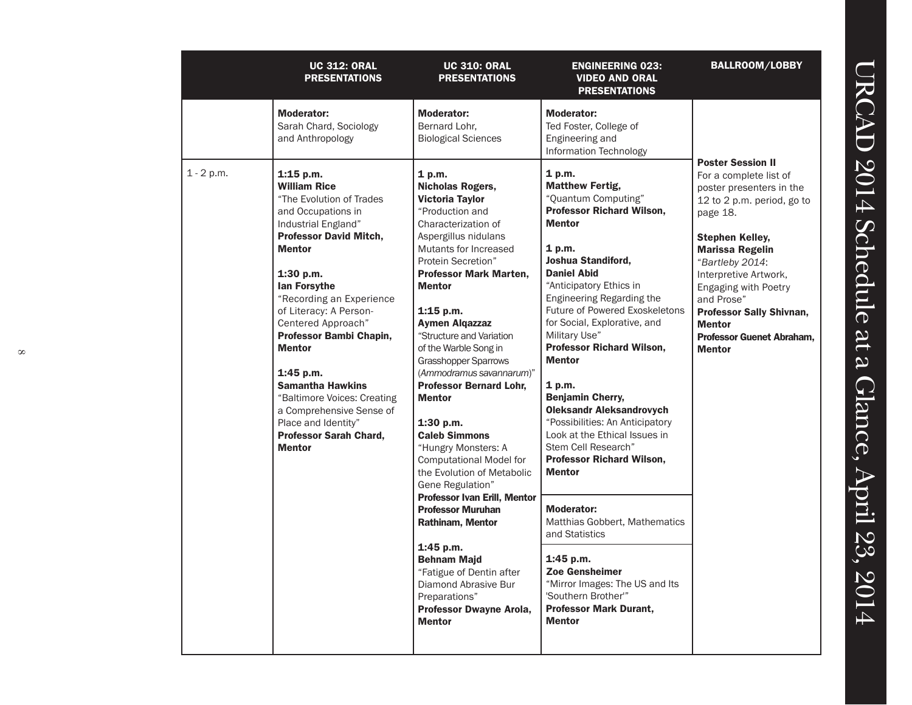|              | <b>UC 312: ORAL</b><br><b>PRESENTATIONS</b>                                                                                                                                                                                                                                                                                                                                                                                                                                                    | <b>UC 310: ORAL</b><br><b>PRESENTATIONS</b>                                                                                                                                                                                                                                                                                                                                                                                                                                                                                                                                                                 | <b>ENGINEERING 023:</b><br><b>VIDEO AND ORAL</b><br><b>PRESENTATIONS</b>                                                                                                                                                                                                                                                                                                                                                                                                                                                                                                                   | <b>BALLROOM/LOBBY</b>                                                                                                                                                                                                                                                                                                                                            |
|--------------|------------------------------------------------------------------------------------------------------------------------------------------------------------------------------------------------------------------------------------------------------------------------------------------------------------------------------------------------------------------------------------------------------------------------------------------------------------------------------------------------|-------------------------------------------------------------------------------------------------------------------------------------------------------------------------------------------------------------------------------------------------------------------------------------------------------------------------------------------------------------------------------------------------------------------------------------------------------------------------------------------------------------------------------------------------------------------------------------------------------------|--------------------------------------------------------------------------------------------------------------------------------------------------------------------------------------------------------------------------------------------------------------------------------------------------------------------------------------------------------------------------------------------------------------------------------------------------------------------------------------------------------------------------------------------------------------------------------------------|------------------------------------------------------------------------------------------------------------------------------------------------------------------------------------------------------------------------------------------------------------------------------------------------------------------------------------------------------------------|
|              | <b>Moderator:</b><br>Sarah Chard, Sociology<br>and Anthropology                                                                                                                                                                                                                                                                                                                                                                                                                                | <b>Moderator:</b><br>Bernard Lohr.<br><b>Biological Sciences</b>                                                                                                                                                                                                                                                                                                                                                                                                                                                                                                                                            | <b>Moderator:</b><br>Ted Foster, College of<br>Engineering and<br><b>Information Technology</b>                                                                                                                                                                                                                                                                                                                                                                                                                                                                                            |                                                                                                                                                                                                                                                                                                                                                                  |
| $1 - 2 p.m.$ | $1:15$ p.m.<br><b>William Rice</b><br>"The Evolution of Trades<br>and Occupations in<br>Industrial England"<br><b>Professor David Mitch,</b><br><b>Mentor</b><br>1:30 p.m.<br>lan Forsythe<br>"Recording an Experience<br>of Literacy: A Person-<br>Centered Approach"<br>Professor Bambi Chapin,<br><b>Mentor</b><br>1:45 p.m.<br><b>Samantha Hawkins</b><br>"Baltimore Voices: Creating<br>a Comprehensive Sense of<br>Place and Identity"<br><b>Professor Sarah Chard,</b><br><b>Mentor</b> | 1 p.m.<br>Nicholas Rogers,<br>Victoria Taylor<br>"Production and<br>Characterization of<br>Aspergillus nidulans<br>Mutants for Increased<br>Protein Secretion"<br><b>Professor Mark Marten,</b><br><b>Mentor</b><br>$1:15$ p.m.<br><b>Aymen Algazzaz</b><br>"Structure and Variation<br>of the Warble Song in<br><b>Grasshopper Sparrows</b><br>(Ammodramus savannarum)"<br><b>Professor Bernard Lohr,</b><br><b>Mentor</b><br>1:30 p.m.<br><b>Caleb Simmons</b><br>"Hungry Monsters: A<br>Computational Model for<br>the Evolution of Metabolic<br>Gene Regulation"<br><b>Professor Ivan Erill, Mentor</b> | 1 p.m.<br><b>Matthew Fertig,</b><br>"Quantum Computing"<br><b>Professor Richard Wilson,</b><br><b>Mentor</b><br>1 p.m.<br>Joshua Standiford,<br><b>Daniel Abid</b><br>"Anticipatory Ethics in<br>Engineering Regarding the<br><b>Future of Powered Exoskeletons</b><br>for Social, Explorative, and<br>Military Use"<br><b>Professor Richard Wilson,</b><br><b>Mentor</b><br>1 p.m.<br>Benjamin Cherry,<br><b>Oleksandr Aleksandrovych</b><br>"Possibilities: An Anticipatory<br>Look at the Ethical Issues in<br>Stem Cell Research"<br><b>Professor Richard Wilson,</b><br><b>Mentor</b> | <b>Poster Session II</b><br>For a complete list of<br>poster presenters in the<br>12 to 2 p.m. period, go to<br>page 18.<br><b>Stephen Kelley,</b><br><b>Marissa Regelin</b><br>"Bartleby 2014:<br>Interpretive Artwork,<br>Engaging with Poetry<br>and Prose"<br><b>Professor Sally Shivnan,</b><br><b>Mentor</b><br>Professor Guenet Abraham,<br><b>Mentor</b> |
|              |                                                                                                                                                                                                                                                                                                                                                                                                                                                                                                | <b>Professor Muruhan</b><br><b>Rathinam, Mentor</b><br>1:45 p.m.<br><b>Behnam Majd</b><br>'Fatigue of Dentin after<br>Diamond Abrasive Bur<br>Preparations"<br>Professor Dwayne Arola,<br><b>Mentor</b>                                                                                                                                                                                                                                                                                                                                                                                                     | <b>Moderator:</b><br>Matthias Gobbert, Mathematics<br>and Statistics<br>1:45 p.m.<br>Zoe Gensheimer<br>"Mirror Images: The US and Its<br>'Southern Brother'"<br><b>Professor Mark Durant,</b><br><b>Mentor</b>                                                                                                                                                                                                                                                                                                                                                                             |                                                                                                                                                                                                                                                                                                                                                                  |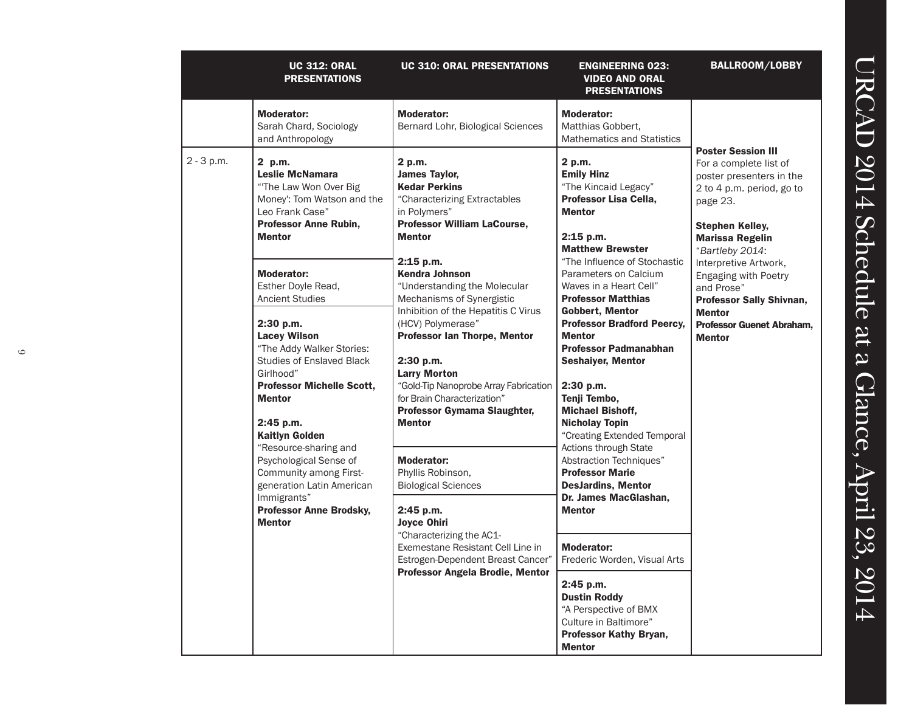|              | <b>UC 312: ORAL</b><br><b>PRESENTATIONS</b>                                                                                                                                                                                                                                                                                                                                                         | UC 310: ORAL PRESENTATIONS                                                                                                                                                                                                                                                                                                                                       | <b>ENGINEERING 023:</b><br><b>VIDEO AND ORAL</b><br><b>PRESENTATIONS</b>                                                                                                                                                                                                                                                                                                                   | BALLROOM/LOBBY                                                                                                                                                                                  |
|--------------|-----------------------------------------------------------------------------------------------------------------------------------------------------------------------------------------------------------------------------------------------------------------------------------------------------------------------------------------------------------------------------------------------------|------------------------------------------------------------------------------------------------------------------------------------------------------------------------------------------------------------------------------------------------------------------------------------------------------------------------------------------------------------------|--------------------------------------------------------------------------------------------------------------------------------------------------------------------------------------------------------------------------------------------------------------------------------------------------------------------------------------------------------------------------------------------|-------------------------------------------------------------------------------------------------------------------------------------------------------------------------------------------------|
|              | <b>Moderator:</b><br>Sarah Chard, Sociology<br>and Anthropology                                                                                                                                                                                                                                                                                                                                     | <b>Moderator:</b><br>Bernard Lohr, Biological Sciences                                                                                                                                                                                                                                                                                                           | <b>Moderator:</b><br>Matthias Gobbert.<br><b>Mathematics and Statistics</b>                                                                                                                                                                                                                                                                                                                |                                                                                                                                                                                                 |
| $2 - 3 p.m.$ | 2 p.m.<br><b>Leslie McNamara</b><br>"The Law Won Over Big<br>Money': Tom Watson and the<br>Leo Frank Case"<br><b>Professor Anne Rubin.</b><br><b>Mentor</b>                                                                                                                                                                                                                                         | 2 p.m.<br><b>James Taylor,</b><br><b>Kedar Perkins</b><br>"Characterizing Extractables<br>in Polymers"<br>Professor William LaCourse,<br><b>Mentor</b>                                                                                                                                                                                                           | 2 p.m.<br><b>Emily Hinz</b><br>"The Kincaid Legacy"<br>Professor Lisa Cella,<br><b>Mentor</b><br>$2:15$ p.m.<br><b>Matthew Brewster</b>                                                                                                                                                                                                                                                    | <b>Poster Session III</b><br>For a complete list of<br>poster presenters in the<br>2 to 4 p.m. period, go to<br>page 23.<br><b>Stephen Kelley,</b><br><b>Marissa Regelin</b><br>"Bartleby 2014: |
|              | <b>Moderator:</b><br>Esther Doyle Read,<br><b>Ancient Studies</b>                                                                                                                                                                                                                                                                                                                                   | $2:15$ p.m.<br><b>Kendra Johnson</b><br>"Understanding the Molecular<br>Mechanisms of Synergistic<br>Inhibition of the Hepatitis C Virus<br>(HCV) Polymerase"<br>Professor Ian Thorpe, Mentor<br>2:30 p.m.<br><b>Larry Morton</b><br>"Gold-Tip Nanoprobe Array Fabrication<br>for Brain Characterization"<br><b>Professor Gymama Slaughter,</b><br><b>Mentor</b> | "The Influence of Stochastic<br>Parameters on Calcium<br>Waves in a Heart Cell"<br><b>Professor Matthias</b><br>Gobbert, Mentor<br><b>Professor Bradford Peercy,</b><br><b>Mentor</b><br><b>Professor Padmanabhan</b><br><b>Seshaiyer, Mentor</b><br>2:30 p.m.<br>Tenji Tembo,<br><b>Michael Bishoff,</b><br><b>Nicholay Topin</b><br>"Creating Extended Temporal<br>Actions through State | Interpretive Artwork,<br>Engaging with Poetry<br>and Prose"<br><b>Professor Sally Shivnan,</b><br><b>Mentor</b><br><b>Professor Guenet Abraham,</b><br><b>Mentor</b>                            |
|              | 2:30 p.m.<br><b>Lacey Wilson</b><br>"The Addy Walker Stories:<br>Studies of Enslaved Black<br>Girlhood"<br><b>Professor Michelle Scott,</b><br><b>Mentor</b><br>2:45 p.m.<br><b>Kaitlyn Golden</b><br>"Resource-sharing and                                                                                                                                                                         |                                                                                                                                                                                                                                                                                                                                                                  |                                                                                                                                                                                                                                                                                                                                                                                            |                                                                                                                                                                                                 |
|              | Psychological Sense of<br><b>Moderator:</b><br>Community among First-<br>Phyllis Robinson,<br>generation Latin American<br><b>Biological Sciences</b><br>Immigrants"<br><b>Professor Anne Brodsky,</b><br>2:45 p.m.<br><b>Mentor</b><br><b>Joyce Ohiri</b><br>"Characterizing the AC1-<br>Exemestane Resistant Cell Line in<br>Estrogen-Dependent Breast Cancer"<br>Professor Angela Brodie, Mentor | Abstraction Techniques"<br><b>Professor Marie</b><br><b>DesJardins, Mentor</b><br>Dr. James MacGlashan,<br><b>Mentor</b>                                                                                                                                                                                                                                         |                                                                                                                                                                                                                                                                                                                                                                                            |                                                                                                                                                                                                 |
|              |                                                                                                                                                                                                                                                                                                                                                                                                     | <b>Moderator:</b><br>Frederic Worden, Visual Arts<br>2:45 p.m.<br><b>Dustin Roddy</b><br>"A Perspective of BMX<br>Culture in Baltimore"<br>Professor Kathy Bryan,<br><b>Mentor</b>                                                                                                                                                                               |                                                                                                                                                                                                                                                                                                                                                                                            |                                                                                                                                                                                                 |